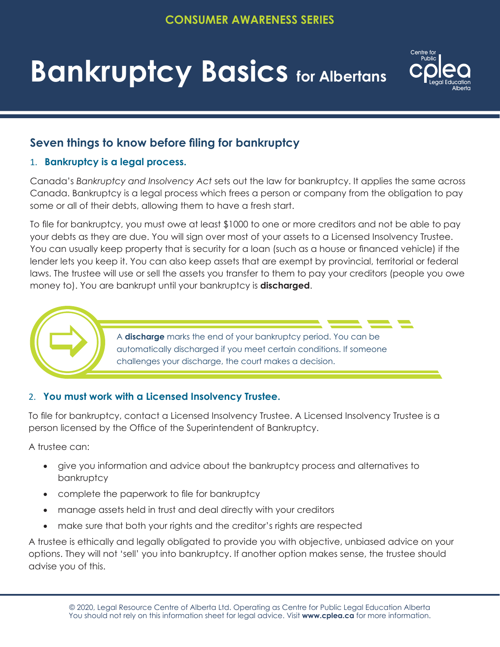# **Bankruptcy Basics for Albertans**



# **Seven things to know before filing for bankruptcy**

## 1. **Bankruptcy is a legal process.**

Canada's *Bankruptcy and Insolvency Act* sets out the law for bankruptcy. It applies the same across Canada. Bankruptcy is a legal process which frees a person or company from the obligation to pay some or all of their debts, allowing them to have a fresh start.

To file for bankruptcy, you must owe at least \$1000 to one or more creditors and not be able to pay your debts as they are due. You will sign over most of your assets to a Licensed Insolvency Trustee. You can usually keep property that is security for a loan (such as a house or financed vehicle) if the lender lets you keep it. You can also keep assets that are exempt by provincial, territorial or federal laws. The trustee will use or sell the assets you transfer to them to pay your creditors (people you owe money to). You are bankrupt until your bankruptcy is **discharged**.



# 2. **You must work with a Licensed Insolvency Trustee.**

To file for bankruptcy, contact a Licensed Insolvency Trustee. A Licensed Insolvency Trustee is a person licensed by the Office of the Superintendent of Bankruptcy.

A trustee can:

- • give you information and advice about the bankruptcy process and alternatives to bankruptcy
- complete the paperwork to file for bankruptcy
- manage assets held in trust and deal directly with your creditors
- make sure that both your rights and the creditor's rights are respected

A trustee is ethically and legally obligated to provide you with objective, unbiased advice on your options. They will not 'sell' you into bankruptcy. If another option makes sense, the trustee should advise you of this.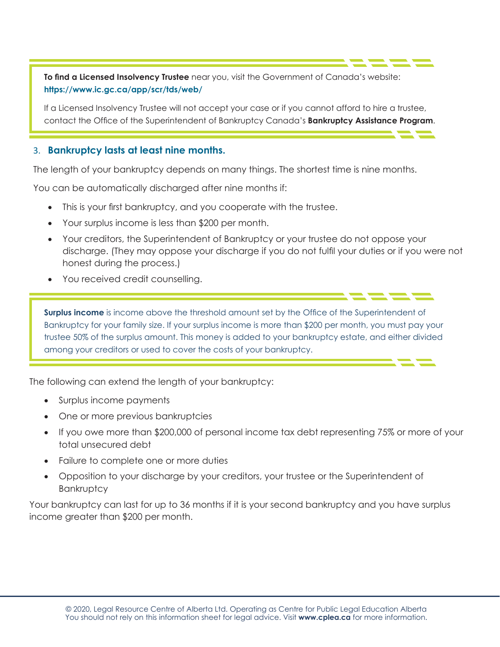**To find a Licensed Insolvency Trustee** near you, visit the Government of Canada's website: **https://www.ic.gc.ca/app/scr/tds/web/**

If a Licensed Insolvency Trustee will not accept your case or if you cannot afford to hire a trustee, contact the Office of the Superintendent of Bankruptcy Canada's **Bankruptcy Assistance Program**.

#### 3. **Bankruptcy lasts at least nine months.**

The length of your bankruptcy depends on many things. The shortest time is nine months.

You can be automatically discharged after nine months if:

- This is your first bankruptcy, and you cooperate with the trustee.
- Your surplus income is less than \$200 per month.
- Your creditors, the Superintendent of Bankruptcy or your trustee do not oppose your discharge. (They may oppose your discharge if you do not fulfil your duties or if you were not honest during the process.)
- You received credit counselling.

**Surplus income** is income above the threshold amount set by the Office of the Superintendent of Bankruptcy for your family size. If your surplus income is more than \$200 per month, you must pay your trustee 50% of the surplus amount. This money is added to your bankruptcy estate, and either divided among your creditors or used to cover the costs of your bankruptcy.

The following can extend the length of your bankruptcy:

- Surplus income payments
- One or more previous bankruptcies
- If you owe more than \$200,000 of personal income tax debt representing 75% or more of your total unsecured debt
- Failure to complete one or more duties
- Opposition to your discharge by your creditors, your trustee or the Superintendent of **Bankruptcy**

Your bankruptcy can last for up to 36 months if it is your second bankruptcy and you have surplus income greater than \$200 per month.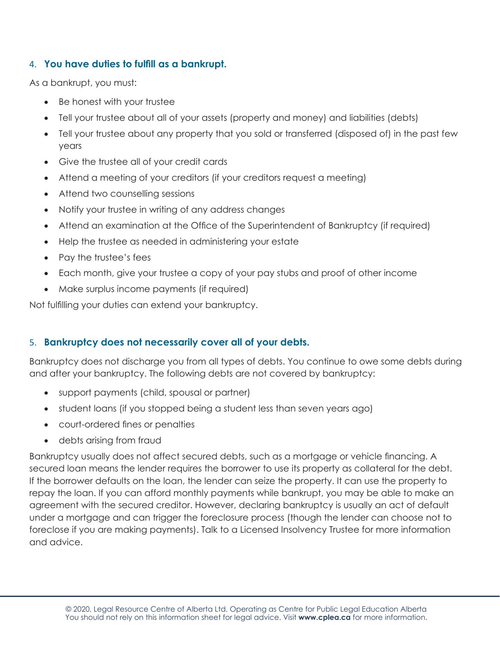### 4. **You have duties to fulfill as a bankrupt.**

As a bankrupt, you must:

- Be honest with your trustee
- Tell your trustee about all of your assets (property and money) and liabilities (debts)
- Tell your trustee about any property that you sold or transferred (disposed of) in the past few years
- Give the trustee all of your credit cards
- Attend a meeting of your creditors (if your creditors request a meeting)
- Attend two counselling sessions
- Notify your trustee in writing of any address changes
- Attend an examination at the Office of the Superintendent of Bankruptcy (if required)
- Help the trustee as needed in administering your estate
- Pay the trustee's fees
- Each month, give your trustee a copy of your pay stubs and proof of other income
- Make surplus income payments (if required)

Not fulfilling your duties can extend your bankruptcy.

# 5. **Bankruptcy does not necessarily cover all of your debts.**

Bankruptcy does not discharge you from all types of debts. You continue to owe some debts during and after your bankruptcy. The following debts are not covered by bankruptcy:

- support payments (child, spousal or partner)
- student loans (if you stopped being a student less than seven years ago)
- court-ordered fines or penalties
- debts arising from fraud

Bankruptcy usually does not affect secured debts, such as a mortgage or vehicle financing. A secured loan means the lender requires the borrower to use its property as collateral for the debt. If the borrower defaults on the loan, the lender can seize the property. It can use the property to repay the loan. If you can afford monthly payments while bankrupt, you may be able to make an agreement with the secured creditor. However, declaring bankruptcy is usually an act of default under a mortgage and can trigger the foreclosure process (though the lender can choose not to foreclose if you are making payments). Talk to a Licensed Insolvency Trustee for more information and advice.